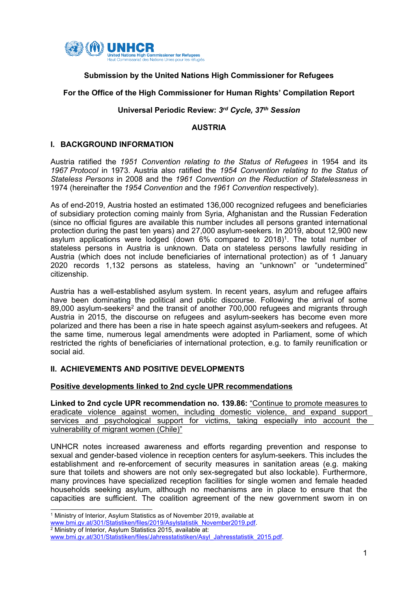

# **Submission by the United Nations High Commissioner for Refugees**

# **For the Office of the High Commissioner for Human Rights' Compilation Report**

#### **Universal Periodic Review:** *3rd Cycle, 37th Session*

#### **AUSTRIA**

### **I. BACKGROUND INFORMATION**

Austria ratified the *1951 Convention relating to the Status of Refugees* in 1954 and its *1967 Protocol* in 1973. Austria also ratified the *1954 Convention relating to the Status of Stateless Persons* in 2008 and the *1961 Convention on the Reduction of Statelessness* in 1974 (hereinafter the *1954 Convention* and the *1961 Convention* respectively).

As of end-2019, Austria hosted an estimated 136,000 recognized refugees and beneficiaries of subsidiary protection coming mainly from Syria, Afghanistan and the Russian Federation (since no official figures are available this number includes all persons granted international protection during the past ten years) and 27,000 asylum-seekers. In 2019, about 12,900 new asylum applications were lodged (down 6% compared to 2018) 1 . The total number of stateless persons in Austria is unknown. Data on stateless persons lawfully residing in Austria (which does not include beneficiaries of international protection) as of 1 January 2020 records 1,132 persons as stateless, having an "unknown" or "undetermined" citizenship.

Austria has <sup>a</sup> well-established asylum system. In recent years, asylum and refugee affairs have been dominating the political and public discourse. Following the arrival of some 89,000 asylum-seekers<sup>2</sup> and the transit of another 700,000 refugees and migrants through Austria in 2015, the discourse on refugees and asylum-seekers has become even more polarized and there has been <sup>a</sup> rise in hate speech against asylum-seekers and refugees. At the same time, numerous legal amendments were adopted in Parliament, some of which restricted the rights of beneficiaries of international protection, e.g. to family reunification or social aid.

# **II. ACHIEVEMENTS AND POSITIVE DEVELOPMENTS**

# **Positive developments linked to 2nd cycle UPR recommendations**

**Linked to 2nd cycle UPR recommendation no. 139.86:** "Continue to promote measures to eradicate violence against women, including domestic violence, and expand support services and psychological support for victims, taking especially into account the vulnerability of migrant women (Chile)"

UNHCR notes increased awareness and efforts regarding prevention and response to sexual and gender-based violence in reception centers for asylum-seekers. This includes the establishment and re-enforcement of security measures in sanitation areas (e.g. making sure that toilets and showers are not only sex-segregated but also lockable). Furthermore, many provinces have specialized reception facilities for single women and female headed households seeking asylum, although no mechanisms are in place to ensure that the capacities are sufficient. The coalition agreement of the new government sworn in on

<sup>1</sup> Ministry of Interior, Asylum Statistics as of November 2019, available at

[www.bmi.gv.at/301/Statistiken/files/2019/Asylstatistik\\_November2019.pdf](http://www.bmi.gv.at/301/Statistiken/files/2019/Asylstatistik_November2019.pdf).

<sup>2</sup> Ministry of Interior, Asylum Statistics 2015, available at:

[www.bmi.gv.at/301/Statistiken/files/Jahresstatistiken/Asyl\\_Jahresstatistik\\_2015.pdf](http://www.bmi.gv.at/301/Statistiken/files/Jahresstatistiken/Asyl_Jahresstatistik_2015.pdf).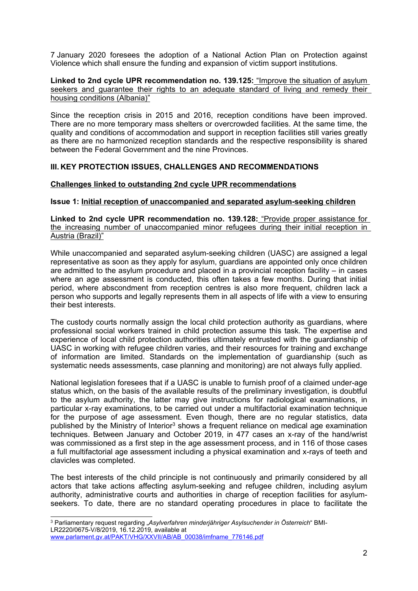7 January 2020 foresees the adoption of <sup>a</sup> National Action Plan on Protection against Violence which shall ensure the funding and expansion of victim support institutions.

### **Linked to 2nd cycle UPR recommendation no. 139.125:** "Improve the situation of asylum seekers and quarantee their rights to an adequate standard of living and remedy their housing conditions (Albania)"

Since the reception crisis in 2015 and 2016, reception conditions have been improved. There are no more temporary mass shelters or overcrowded facilities. At the same time, the quality and conditions of accommodation and support in reception facilities still varies greatly as there are no harmonized reception standards and the respective responsibility is shared between the Federal Government and the nine Provinces.

# **III. KEY PROTECTION ISSUES, CHALLENGES AND RECOMMENDATIONS**

# **Challenges linked to outstanding 2nd cycle UPR recommendations**

#### **Issue 1: Initial reception of unaccompanied and separated asylum-seeking children**

**Linked to 2nd cycle UPR recommendation no. 139.128:** "Provide proper assistance for the increasing number of unaccompanied minor refugees during their initial reception in Austria (Brazil)"

While unaccompanied and separated asylum-seeking children (UASC) are assigned a legal representative as soon as they apply for asylum, guardians are appointed only once children are admitted to the asylum procedure and placed in <sup>a</sup> provincial reception facility – in cases where an age assessment is conducted, this often takes <sup>a</sup> few months. During that initial period, where abscondment from reception centres is also more frequent, children lack <sup>a</sup> person who supports and legally represents them in all aspects of life with <sup>a</sup> view to ensuring their best interests.

The custody courts normally assign the local child protection authority as guardians, where professional social workers trained in child protection assume this task. The expertise and experience of local child protection authorities ultimately entrusted with the guardianship of UASC in working with refugee children varies, and their resources for training and exchange of information are limited. Standards on the implementation of guardianship (such as systematic needs assessments, case planning and monitoring) are not always fully applied.

National legislation foresees that if <sup>a</sup> UASC is unable to furnish proof of <sup>a</sup> claimed under-age status which, on the basis of the available results of the preliminary investigation, is doubtful to the asylum authority, the latter may give instructions for radiological examinations, in particular x-ray examinations, to be carried out under <sup>a</sup> multifactorial examination technique for the purpose of age assessment. Even though, there are no regular statistics, data published by the Ministry of Interior<sup>3</sup> shows a frequent reliance on medical age examination techniques. Between January and October 2019, in 477 cases an x-ray of the hand/wrist was commissioned as <sup>a</sup> first step in the age assessment process, and in 116 of those cases <sup>a</sup> full multifactorial age assessment including <sup>a</sup> physical examination and x-rays of teeth and clavicles was completed.

The best interests of the child principle is not continuously and primarily considered by all actors that take actions affecting asylum-seeking and refugee children, including asylum authority, administrative courts and authorities in charge of reception facilities for asylumseekers. To date, there are no standard operating procedures in place to facilitate the

<sup>3</sup> Parliamentary request regarding "*Asylverfahren minderjähriger Asylsuchender in Österreich*" BMI-LR2220/0675-V/8/2019, 16.12.2019, available at [www.parlament.gv.at/PAKT/VHG/XXVII/AB/AB\\_00038/imfname\\_776146.pdf](http://www.parlament.gv.at/PAKT/VHG/XXVII/AB/AB_00038/imfname_776146.pdf)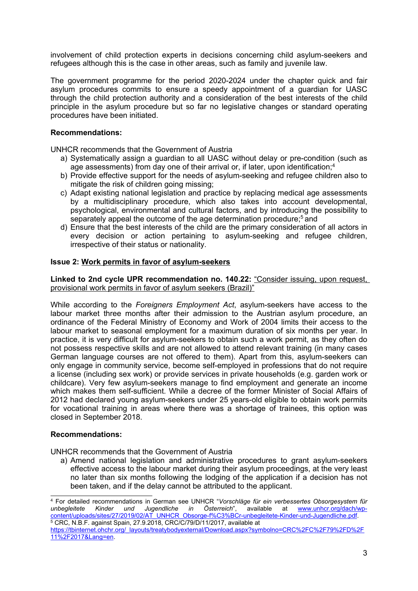involvement of child protection experts in decisions concerning child asylum-seekers and refugees although this is the case in other areas, such as family and juvenile law.

The government programme for the period 2020-2024 under the chapter quick and fair asylum procedures commits to ensure <sup>a</sup> speedy appointment of <sup>a</sup> guardian for UASC through the child protection authority and <sup>a</sup> consideration of the best interests of the child principle in the asylum procedure but so far no legislative changes or standard operating procedures have been initiated.

### **Recommendations:**

UNHCR recommends that the Government of Austria

- a) Systematically assign <sup>a</sup> guardian to all UASC without delay or pre-condition (such as age assessments) from day one of their arrival or, if later, upon identification; 4
- b) Provide effective support for the needs of asylum-seeking and refugee children also to mitigate the risk of children going missing;
- c) Adapt existing national legislation and practice by replacing medical age assessments by <sup>a</sup> multidisciplinary procedure, which also takes into account developmental, psychological, environmental and cultural factors, and by introducing the possibility to separately appeal the outcome of the age determination procedure;<sup>5</sup> and
- d) Ensure that the best interests of the child are the primary consideration of all actors in every decision or action pertaining to asylum-seeking and refugee children, irrespective of their status or nationality.

#### **Issue 2: Work permits in favor of asylum-seekers**

**Linked to 2nd cycle UPR recommendation no. 140.22:** "Consider issuing, upon request, provisional work permits in favor of asylum seekers (Brazil)"

While according to the *Foreigners Employment Act*, asylum-seekers have access to the labour market three months after their admission to the Austrian asylum procedure, an ordinance of the Federal Ministry of Economy and Work of 2004 limits their access to the labour market to seasonal employment for <sup>a</sup> maximum duration of six months per year. In practice, it is very difficult for asylum-seekers to obtain such <sup>a</sup> work permit, as they often do not possess respective skills and are not allowed to attend relevant training (in many cases German language courses are not offered to them). Apart from this, asylum-seekers can only engage in community service, become self-employed in professions that do not require <sup>a</sup> license (including sex work) or provide services in private households (e.g. garden work or childcare). Very few asylum-seekers manage to find employment and generate an income which makes them self-sufficient. While a decree of the former Minister of Social Affairs of 2012 had declared young asylum-seekers under 25 years-old eligible to obtain work permits for vocational training in areas where there was <sup>a</sup> shortage of trainees, this option was closed in September 2018.

#### **Recommendations:**

UNHCR recommends that the Government of Austria

a) Amend national legislation and administrative procedures to grant asylum-seekers effective access to the labour market during their asylum proceedings, at the very least no later than six months following the lodging of the application if <sup>a</sup> decision has not been taken, and if the delay cannot be attributed to the applicant.

<sup>4</sup> For detailed recommendations in German see UNHCR "*Vorschläge für ein verbessertes Obsorgesystem für unbegleitete Kinder und Jugendliche in Österreich*", available at [www.unhcr.org/dach/wp](http://www.unhcr.org/dach/wp-content/uploads/sites/27/2019/02/AT_UNHCR_Obsorge-f%C3%BCr-unbegleitete-Kinder-und-Jugendliche.pdf)[content/uploads/sites/27/2019/02/AT\\_UNHCR\\_Obsorge-f%C3%BCr-unbegleitete-Kinder-und-Jugendliche.pdf](http://www.unhcr.org/dach/wp-content/uploads/sites/27/2019/02/AT_UNHCR_Obsorge-f%C3%BCr-unbegleitete-Kinder-und-Jugendliche.pdf). <sup>5</sup> CRC, N.B.F. against Spain, 27.9.2018, CRC/C/79/D/11/2017, available at

[https://tbinternet.ohchr.org/\\_layouts/treatybodyexternal/Download.aspx?symbolno=CRC%2FC%2F79%2FD%2F](https://tbinternet.ohchr.org/_layouts/treatybodyexternal/Download.aspx?symbolno=CRC%2FC%2F79%2FD%2F11%2F2017&Lang=en) [11%2F2017&Lang=en](https://tbinternet.ohchr.org/_layouts/treatybodyexternal/Download.aspx?symbolno=CRC%2FC%2F79%2FD%2F11%2F2017&Lang=en).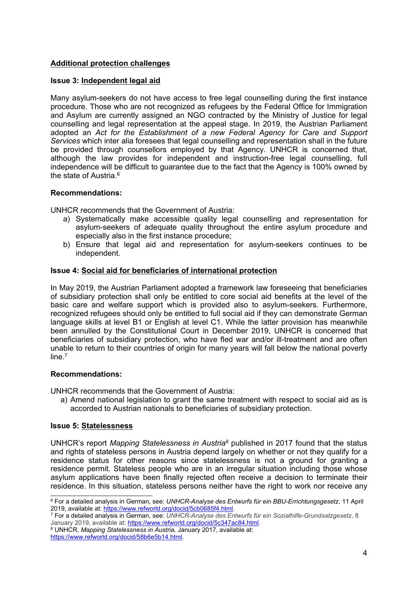# **Additional protection challenges**

# **Issue 3: Independent legal aid**

Many asylum-seekers do not have access to free legal counselling during the first instance procedure. Those who are not recognized as refugees by the Federal Office for Immigration and Asylum are currently assigned an NGO contracted by the Ministry of Justice for legal counselling and legal representation at the appeal stage. In 2019, the Austrian Parliament adopted an *Act for the Establishment of <sup>a</sup> new Federal Agency for Care and Support Services* which inter alia foresees that legal counselling and representation shall in the future be provided through counsellors employed by that Agency. UNHCR is concerned that, although the law provides for independent and instruction-free legal counselling, full independence will be difficult to guarantee due to the fact that the Agency is 100% owned by the state of Austria.<sup>6</sup>

# **Recommendations:**

UNHCR recommends that the Government of Austria:

- a) Systematically make accessible quality legal counselling and representation for asylum-seekers of adequate quality throughout the entire asylum procedure and especially also in the first instance procedure;
- b) Ensure that legal aid and representation for asylum-seekers continues to be independent.

# **Issue 4: Social aid for beneficiaries of international protection**

In May 2019, the Austrian Parliament adopted <sup>a</sup> framework law foreseeing that beneficiaries of subsidiary protection shall only be entitled to core social aid benefits at the level of the basic care and welfare support which is provided also to asylum-seekers. Furthermore, recognized refugees should only be entitled to full social aid if they can demonstrate German language skills at level B1 or English at level C1. While the latter provision has meanwhile been annulled by the Constitutional Court in December 2019, UNHCR is concerned that beneficiaries of subsidiary protection, who have fled war and/or ill-treatment and are often unable to return to their countries of origin for many years will fall below the national poverty line. 7

# **Recommendations:**

UNHCR recommends that the Government of Austria:

a) Amend national legislation to grant the same treatment with respect to social aid as is accorded to Austrian nationals to beneficiaries of subsidiary protection.

# **Issue 5: Statelessness**

UNHCR'<sup>s</sup> report *Mapping Statelessness in Austria<sup>8</sup>* published in 2017 found that the status and rights of stateless persons in Austria depend largely on whether or not they qualify for <sup>a</sup> residence status for other reasons since statelessness is not <sup>a</sup> ground for granting <sup>a</sup> residence permit. Stateless people who are in an irregular situation including those whose asylum applications have been finally rejected often receive <sup>a</sup> decision to terminate their residence. In this situation, stateless persons neither have the right to work nor receive any

<sup>8</sup> UNHCR, *Mapping Statelessness in Austria,* January 2017, available at: <https://www.refworld.org/docid/58b6e5b14.html>.

<sup>6</sup> For <sup>a</sup> detailed analysis in German, see: *UNHCR-Analyse des Entwurfs für ein BBU-Errichtungsgesetz*, 11 April

<sup>2019,</sup> available at: <https://www.refworld.org/docid/5cb0685f4.html>. 7 For <sup>a</sup> detailed analysis in German, see: *UNHCR-Analyse des Entwurfs für ein Sozialhilfe-Grundsatzgesetz*, 8 January 2019, available at: <u><https://www.refworld.org/docid/5c347ac84.html></u>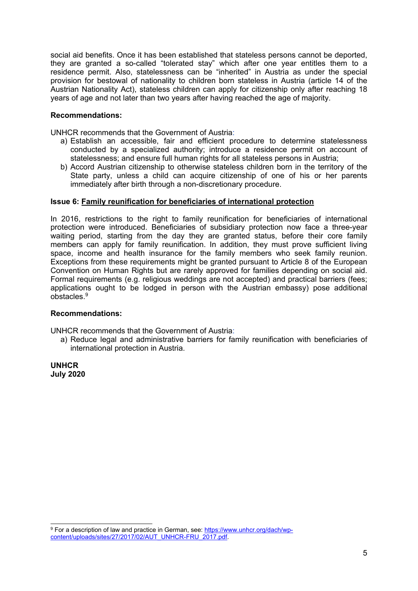social aid benefits. Once it has been established that stateless persons cannot be deported, they are granted <sup>a</sup> so-called "tolerated stay" which after one year entitles them to <sup>a</sup> residence permit. Also, statelessness can be "inherited" in Austria as under the special provision for bestowal of nationality to children born stateless in Austria (article 14 of the Austrian Nationality Act), stateless children can apply for citizenship only after reaching 18 years of age and not later than two years after having reached the age of majority.

#### **Recommendations:**

UNHCR recommends that the Government of Austria:

- a) Establish an accessible, fair and efficient procedure to determine statelessness conducted by <sup>a</sup> specialized authority; introduce <sup>a</sup> residence permit on account of statelessness; and ensure full human rights for all stateless persons in Austria;
- b) Accord Austrian citizenship to otherwise stateless children born in the territory of the State party, unless <sup>a</sup> child can acquire citizenship of one of his or her parents immediately after birth through <sup>a</sup> non-discretionary procedure.

#### **Issue 6: Family reunification for beneficiaries of international protection**

In 2016, restrictions to the right to family reunification for beneficiaries of international protection were introduced. Beneficiaries of subsidiary protection now face <sup>a</sup> three-year waiting period, starting from the day they are granted status, before their core family members can apply for family reunification. In addition, they must prove sufficient living space, income and health insurance for the family members who seek family reunion. Exceptions from these requirements might be granted pursuant to Article 8 of the European Convention on Human Rights but are rarely approved for families depending on social aid. Formal requirements (e.g. religious weddings are not accepted) and practical barriers (fees; applications ought to be lodged in person with the Austrian embassy) pose additional obstacles.<sup>9</sup>

#### **Recommendations:**

UNHCR recommends that the Government of Austria:

a) Reduce legal and administrative barriers for family reunification with beneficiaries of international protection in Austria.

**UNHCR July 2020**

<sup>&</sup>lt;sup>9</sup> For a description of law and practice in German, see: [https://www.unhcr.org/dach/wp](https://www.unhcr.org/dach/wp-content/uploads/sites/27/2017/02/AUT_UNHCR-FRU_2017.pdf)[content/uploads/sites/27/2017/02/AUT\\_UNHCR-FRU\\_2017.pdf](https://www.unhcr.org/dach/wp-content/uploads/sites/27/2017/02/AUT_UNHCR-FRU_2017.pdf).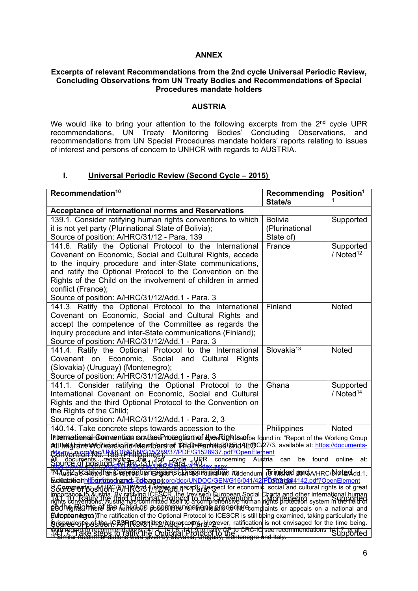### **ANNEX**

#### **Excerpts of relevant Recommendations from the 2nd cycle Universal Periodic Review, Concluding Observations from UN Treaty Bodies and Recommendations of Special Procedures mandate holders**

#### **AUSTRIA**

We would like to bring your attention to the following excerpts from the  $2^{\text{nd}}$  cycle UPR recommendations, UN Treaty Monitoring Bodies' Concluding Observations, and recommendations from UN Special Procedures mandate holders' reports relating to issues of interest and persons of concern to UNHCR with regards to AUSTRIA.

# **I. Universal Periodic Review (Second Cycle – 2015)**

| Recommendation <sup>10</sup>                                                                                                                                                                                                                                                                                                                                                                                                                                                | Recommending<br>State/s                       | Position <sup>1</sup>              |
|-----------------------------------------------------------------------------------------------------------------------------------------------------------------------------------------------------------------------------------------------------------------------------------------------------------------------------------------------------------------------------------------------------------------------------------------------------------------------------|-----------------------------------------------|------------------------------------|
| Acceptance of international norms and Reservations                                                                                                                                                                                                                                                                                                                                                                                                                          |                                               |                                    |
| 139.1. Consider ratifying human rights conventions to which<br>it is not yet party (Plurinational State of Bolivia);<br>Source of position: A/HRC/31/12 - Para. 139                                                                                                                                                                                                                                                                                                         | <b>Bolivia</b><br>(Plurinational<br>State of) | Supported                          |
| 141.6. Ratify the Optional Protocol to the International<br>Covenant on Economic, Social and Cultural Rights, accede<br>to the inquiry procedure and inter-State communications,<br>and ratify the Optional Protocol to the Convention on the<br>Rights of the Child on the involvement of children in armed<br>conflict (France);<br>Source of position: A/HRC/31/12/Add.1 - Para. 3                                                                                       | France                                        | Supported<br>/ Noted <sup>12</sup> |
| 141.3. Ratify the Optional Protocol to the International<br>Covenant on Economic, Social and Cultural Rights and<br>accept the competence of the Committee as regards the<br>inquiry procedure and inter-State communications (Finland);<br>Source of position: A/HRC/31/12/Add.1 - Para. 3                                                                                                                                                                                 | Finland                                       | <b>Noted</b>                       |
| 141.4. Ratify the Optional Protocol to the International<br>Covenant on Economic,<br>Social and Cultural<br><b>Rights</b><br>(Slovakia) (Uruguay) (Montenegro);<br>Source of position: A/HRC/31/12/Add.1 - Para. 3                                                                                                                                                                                                                                                          | Slovakia <sup>13</sup>                        | Noted                              |
| 141.1. Consider ratifying the Optional Protocol to the<br>International Covenant on Economic, Social and Cultural<br>Rights and the third Optional Protocol to the Convention on<br>the Rights of the Child;<br>Source of position: A/HRC/31/12/Add.1 - Para. 2, 3                                                                                                                                                                                                          | Ghana                                         | Supported<br>/ $Noted14$           |
| 140.14. Take concrete steps towards accession to the                                                                                                                                                                                                                                                                                                                                                                                                                        | Philippines                                   | <b>Noted</b>                       |
| InterreationalnGanowentian contiscia ochtagtisten af thee Rightsanfbe found in: "Report of the Working Group<br>All tMigharars Morkers a Revidentibustref 14 and Familio 20 and 4 LtBC 27/3, available at: https://documents-<br>Convented we USO (Philippines, 289/37/PDF/G1528937.pdf?OpenElement<br>concerning<br>Au\$tria<br>found<br>online<br>can<br>be<br>at:<br>All documents regarding the 1784 -cycle UPR<br>DOUGE OI DOSILION - NILIS CON UILBRIDALA ANNe        |                                               |                                    |
| <u>1944 Justia Batiliyy then Coupmention ragent pistuhisosi molination kudendum (Brimidad amot A/HRC/Note Add.1,</u>                                                                                                                                                                                                                                                                                                                                                        |                                               |                                    |
|                                                                                                                                                                                                                                                                                                                                                                                                                                                                             |                                               |                                    |
| Education (The midtage and Fob ago); or g/doc/UNDOC/GEN/G16/041/42/PD6/630604142.pdf?OpenElement<br>SGGPCEP PS SKICK-AJHRCJ3.1/1921 PS Record of Dana Control and cultural rights is of great<br>importance to Again a By rating to<br>Podhey Rights of the <i>Kuhildon possibilities</i> in a high-complaints or appeals on a national and<br><b>[Mopten tegred</b> ) The ratification of the Optional Protocol to ICESCR is still being examined, taking particularly the |                                               |                                    |
| BUSING COF POSTION CASPIRONS TITE AND ACCORDIZED DETERMINES TO THE time being.                                                                                                                                                                                                                                                                                                                                                                                              |                                               |                                    |
| With regard for calculing of the State of the 1990 of the ratify OP to CRC-IC see recommendations 141.7 et al.<br>With regard fo reconnectations of the Continent Protocol to ratify OP to CRC-IC see recommendations 141.7 et a<br>                                                                                                                                                                                                                                        |                                               |                                    |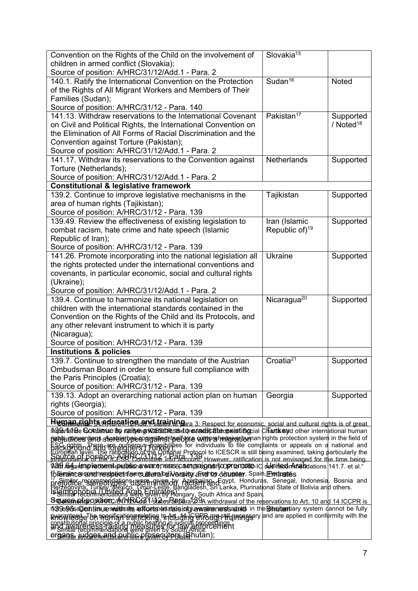| Convention on the Rights of the Child on the involvement of                                                                                                                                                                                                                                    | Slovakia <sup>15</sup>     |                       |
|------------------------------------------------------------------------------------------------------------------------------------------------------------------------------------------------------------------------------------------------------------------------------------------------|----------------------------|-----------------------|
| children in armed conflict (Slovakia);                                                                                                                                                                                                                                                         |                            |                       |
| Source of position: A/HRC/31/12/Add.1 - Para. 2                                                                                                                                                                                                                                                |                            |                       |
| 140.1. Ratify the International Convention on the Protection                                                                                                                                                                                                                                   | Sudan $16$                 | Noted                 |
| of the Rights of All Migrant Workers and Members of Their                                                                                                                                                                                                                                      |                            |                       |
| Families (Sudan);                                                                                                                                                                                                                                                                              |                            |                       |
| Source of position: A/HRC/31/12 - Para. 140                                                                                                                                                                                                                                                    |                            |                       |
| 141.13. Withdraw reservations to the International Covenant                                                                                                                                                                                                                                    | Pakistan <sup>17</sup>     | Supported             |
| on Civil and Political Rights, the International Convention on                                                                                                                                                                                                                                 |                            | / Noted <sup>18</sup> |
| the Elimination of All Forms of Racial Discrimination and the                                                                                                                                                                                                                                  |                            |                       |
| Convention against Torture (Pakistan);                                                                                                                                                                                                                                                         |                            |                       |
| Source of position: A/HRC/31/12/Add.1 - Para. 2                                                                                                                                                                                                                                                |                            |                       |
| 141.17. Withdraw its reservations to the Convention against                                                                                                                                                                                                                                    | <b>Netherlands</b>         | Supported             |
| Torture (Netherlands);                                                                                                                                                                                                                                                                         |                            |                       |
| Source of position: A/HRC/31/12/Add.1 - Para. 2                                                                                                                                                                                                                                                |                            |                       |
| <b>Constitutional &amp; legislative framework</b>                                                                                                                                                                                                                                              |                            |                       |
| 139.2. Continue to improve legislative mechanisms in the                                                                                                                                                                                                                                       | Tajikistan                 | Supported             |
| area of human rights (Tajikistan);                                                                                                                                                                                                                                                             |                            |                       |
| Source of position: A/HRC/31/12 - Para. 139                                                                                                                                                                                                                                                    |                            |                       |
| 139.49. Review the effectiveness of existing legislation to                                                                                                                                                                                                                                    | Iran (Islamic              | Supported             |
| combat racism, hate crime and hate speech (Islamic                                                                                                                                                                                                                                             | Republic of) <sup>19</sup> |                       |
| Republic of Iran);                                                                                                                                                                                                                                                                             |                            |                       |
| Source of position: A/HRC/31/12 - Para. 139                                                                                                                                                                                                                                                    |                            |                       |
| 141.26. Promote incorporating into the national legislation all                                                                                                                                                                                                                                | <b>Ukraine</b>             | Supported             |
| the rights protected under the international conventions and                                                                                                                                                                                                                                   |                            |                       |
| covenants, in particular economic, social and cultural rights                                                                                                                                                                                                                                  |                            |                       |
| (Ukraine);                                                                                                                                                                                                                                                                                     |                            |                       |
| Source of position: A/HRC/31/12/Add.1 - Para. 2                                                                                                                                                                                                                                                |                            |                       |
| 139.4. Continue to harmonize its national legislation on                                                                                                                                                                                                                                       | Nicaragua <sup>20</sup>    | Supported             |
| children with the international standards contained in the                                                                                                                                                                                                                                     |                            |                       |
| Convention on the Rights of the Child and its Protocols, and                                                                                                                                                                                                                                   |                            |                       |
| any other relevant instrument to which it is party                                                                                                                                                                                                                                             |                            |                       |
| (Nicaragua);                                                                                                                                                                                                                                                                                   |                            |                       |
| Source of position: A/HRC/31/12 - Para. 139                                                                                                                                                                                                                                                    |                            |                       |
| <b>Institutions &amp; policies</b>                                                                                                                                                                                                                                                             |                            |                       |
| 139.7. Continue to strengthen the mandate of the Austrian                                                                                                                                                                                                                                      | Croatia <sup>21</sup>      | Supported             |
| Ombudsman Board in order to ensure full compliance with                                                                                                                                                                                                                                        |                            |                       |
| the Paris Principles (Croatia);                                                                                                                                                                                                                                                                |                            |                       |
| Source of position: A/HRC/31/12 - Para. 139                                                                                                                                                                                                                                                    |                            |                       |
| 139.13. Adopt an overarching national action plan on human                                                                                                                                                                                                                                     | Georgia                    | Supported             |
| rights (Georgia);                                                                                                                                                                                                                                                                              |                            |                       |
| Source of position: A/HRC/31/12 - Para. 139                                                                                                                                                                                                                                                    |                            |                       |
| Human rights adugation and training as Respect for economic, social and cultural rights is of great                                                                                                                                                                                            |                            |                       |
| in39briafee Continuite Bo ratiseng WasCressedoreviactic ateopristingcial Chartice yd other international human                                                                                                                                                                                 |                            |                       |
| righter proces time stere otype som alter the bone compresentation and rights protection system in the field of                                                                                                                                                                                |                            |                       |
| ESC rights. The rational and completely property in the second in the complements or appeals on a national and<br>European level. The ratio allocated property in the state of the complaints or appeals on a national and<br>highli                                                           |                            |                       |
|                                                                                                                                                                                                                                                                                                |                            |                       |
| ".http://defarlimple.com/topublichav/uncenesscampedignastycopromosic-IC deleitednAmebdations 141.7. et al.                                                                                                                                                                                     |                            |                       |
| tôfeiraince cand need a ever contural build ensity afriente dountey. Spain Entrates                                                                                                                                                                                                            |                            |                       |
|                                                                                                                                                                                                                                                                                                |                            |                       |
| Frequence Secrets of the Research of the Party of the Contract Construction of the companies of the companies of the companies of the companies of the companies of the companies of the companies of the companies of the com                                                                 |                            |                       |
|                                                                                                                                                                                                                                                                                                |                            |                       |
|                                                                                                                                                                                                                                                                                                |                            |                       |
| 1039:05 a Gentinsure sempletrates enformisminaterisinfojue verziles menus sadnicts in the Behnitemptiary system dannot be fully                                                                                                                                                                |                            |                       |
|                                                                                                                                                                                                                                                                                                |                            |                       |
| avanteed The merifications well in the United Arts are the process of the applied in conformity with the<br>constitutional principle of a public health of process in the constitution of the constitutional principle of<br>a Simil<br><u>organs, judges and jaublis põpsequtos (Bhutan);</u> |                            |                       |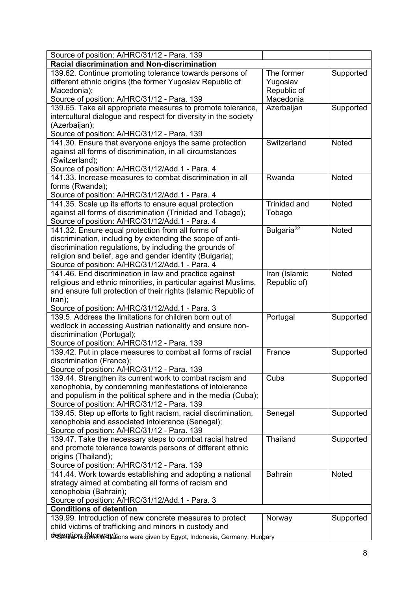| Source of position: A/HRC/31/12 - Para. 139                                                                                                                                                                                                                                              |                                                    |              |
|------------------------------------------------------------------------------------------------------------------------------------------------------------------------------------------------------------------------------------------------------------------------------------------|----------------------------------------------------|--------------|
| Racial discrimination and Non-discrimination                                                                                                                                                                                                                                             |                                                    |              |
| 139.62. Continue promoting tolerance towards persons of<br>different ethnic origins (the former Yugoslav Republic of<br>Macedonia);<br>Source of position: A/HRC/31/12 - Para. 139                                                                                                       | The former<br>Yugoslav<br>Republic of<br>Macedonia | Supported    |
| 139.65. Take all appropriate measures to promote tolerance,<br>intercultural dialogue and respect for diversity in the society<br>(Azerbaijan);<br>Source of position: A/HRC/31/12 - Para. 139                                                                                           | Azerbaijan                                         | Supported    |
| 141.30. Ensure that everyone enjoys the same protection<br>against all forms of discrimination, in all circumstances<br>(Switzerland);<br>Source of position: A/HRC/31/12/Add.1 - Para. 4                                                                                                | Switzerland                                        | <b>Noted</b> |
| 141.33. Increase measures to combat discrimination in all<br>forms (Rwanda);<br>Source of position: A/HRC/31/12/Add.1 - Para. 4                                                                                                                                                          | Rwanda                                             | <b>Noted</b> |
| 141.35. Scale up its efforts to ensure equal protection<br>against all forms of discrimination (Trinidad and Tobago);<br>Source of position: A/HRC/31/12/Add.1 - Para. 4                                                                                                                 | <b>Trinidad and</b><br>Tobago                      | <b>Noted</b> |
| 141.32. Ensure equal protection from all forms of<br>discrimination, including by extending the scope of anti-<br>discrimination regulations, by including the grounds of<br>religion and belief, age and gender identity (Bulgaria);<br>Source of position: A/HRC/31/12/Add.1 - Para. 4 | Bulgaria <sup>22</sup>                             | Noted        |
| 141.46. End discrimination in law and practice against<br>religious and ethnic minorities, in particular against Muslims,<br>and ensure full protection of their rights (Islamic Republic of<br>Iran);<br>Source of position: A/HRC/31/12/Add.1 - Para. 3                                | Iran (Islamic<br>Republic of)                      | <b>Noted</b> |
| 139.5. Address the limitations for children born out of<br>wedlock in accessing Austrian nationality and ensure non-<br>discrimination (Portugal);<br>Source of position: A/HRC/31/12 - Para. 139                                                                                        | Portugal                                           | Supported    |
| 139.42. Put in place measures to combat all forms of racial<br>discrimination (France);<br>Source of position: A/HRC/31/12 - Para. 139                                                                                                                                                   | France                                             | Supported    |
| 139.44. Strengthen its current work to combat racism and<br>xenophobia, by condemning manifestations of intolerance<br>and populism in the political sphere and in the media (Cuba);<br>Source of position: A/HRC/31/12 - Para. 139                                                      | Cuba                                               | Supported    |
| 139.45. Step up efforts to fight racism, racial discrimination,<br>xenophobia and associated intolerance (Senegal);<br>Source of position: A/HRC/31/12 - Para. 139                                                                                                                       | Senegal                                            | Supported    |
| 139.47. Take the necessary steps to combat racial hatred<br>and promote tolerance towards persons of different ethnic<br>origins (Thailand);<br>Source of position: A/HRC/31/12 - Para. 139                                                                                              | Thailand                                           | Supported    |
| 141.44. Work towards establishing and adopting a national<br>strategy aimed at combating all forms of racism and<br>xenophobia (Bahrain);<br>Source of position: A/HRC/31/12/Add.1 - Para. 3<br><b>Conditions of detention</b>                                                           | <b>Bahrain</b>                                     | Noted        |
| 139.99. Introduction of new concrete measures to protect<br>child victims of trafficking and minors in custody and<br>detention (Nonneral bions were given by Egypt, Indonesia, Germany, Hungary                                                                                         | Norway                                             | Supported    |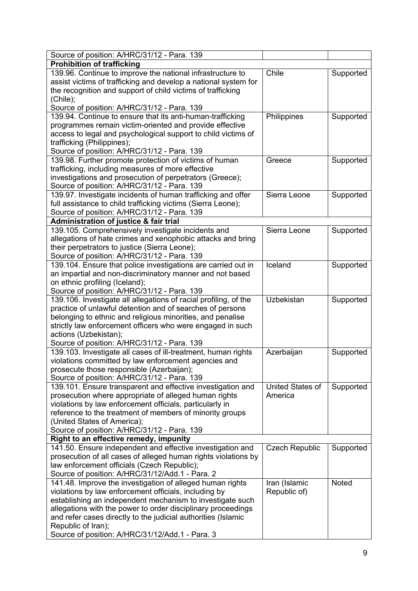| Source of position: A/HRC/31/12 - Para. 139                                                                                                                        |  |
|--------------------------------------------------------------------------------------------------------------------------------------------------------------------|--|
| <b>Prohibition of trafficking</b>                                                                                                                                  |  |
| 139.96. Continue to improve the national infrastructure to<br>Chile<br>Supported                                                                                   |  |
| assist victims of trafficking and develop a national system for                                                                                                    |  |
| the recognition and support of child victims of trafficking                                                                                                        |  |
| (Chile);                                                                                                                                                           |  |
| Source of position: A/HRC/31/12 - Para. 139                                                                                                                        |  |
| 139.94. Continue to ensure that its anti-human-trafficking<br>Philippines<br>Supported                                                                             |  |
| programmes remain victim-oriented and provide effective                                                                                                            |  |
| access to legal and psychological support to child victims of                                                                                                      |  |
| trafficking (Philippines);                                                                                                                                         |  |
| Source of position: A/HRC/31/12 - Para. 139                                                                                                                        |  |
| 139.98. Further promote protection of victims of human<br>Greece<br>Supported                                                                                      |  |
| trafficking, including measures of more effective                                                                                                                  |  |
| investigations and prosecution of perpetrators (Greece);                                                                                                           |  |
| Source of position: A/HRC/31/12 - Para. 139                                                                                                                        |  |
| Sierra Leone<br>139.97. Investigate incidents of human trafficking and offer<br>Supported                                                                          |  |
| full assistance to child trafficking victims (Sierra Leone);                                                                                                       |  |
| Source of position: A/HRC/31/12 - Para. 139                                                                                                                        |  |
| Administration of justice & fair trial                                                                                                                             |  |
| 139.105. Comprehensively investigate incidents and<br>Sierra Leone<br>Supported                                                                                    |  |
| allegations of hate crimes and xenophobic attacks and bring                                                                                                        |  |
| their perpetrators to justice (Sierra Leone);                                                                                                                      |  |
| Source of position: A/HRC/31/12 - Para. 139                                                                                                                        |  |
| Iceland<br>139.104. Ensure that police investigations are carried out in<br>Supported                                                                              |  |
| an impartial and non-discriminatory manner and not based                                                                                                           |  |
| on ethnic profiling (Iceland);                                                                                                                                     |  |
| Source of position: A/HRC/31/12 - Para. 139                                                                                                                        |  |
| 139.106. Investigate all allegations of racial profiling, of the<br>Uzbekistan<br>Supported                                                                        |  |
| practice of unlawful detention and of searches of persons                                                                                                          |  |
| belonging to ethnic and religious minorities, and penalise                                                                                                         |  |
| strictly law enforcement officers who were engaged in such                                                                                                         |  |
| actions (Uzbekistan);                                                                                                                                              |  |
| Source of position: A/HRC/31/12 - Para. 139                                                                                                                        |  |
| 139.103. Investigate all cases of ill-treatment, human rights<br>Azerbaijan<br>Supported                                                                           |  |
| violations committed by law enforcement agencies and                                                                                                               |  |
| prosecute those responsible (Azerbaijan);                                                                                                                          |  |
| Source of position: A/HRC/31/12 - Para. 139                                                                                                                        |  |
| United States of<br>139.101. Ensure transparent and effective investigation and<br>Supported                                                                       |  |
| prosecution where appropriate of alleged human rights<br>America                                                                                                   |  |
| violations by law enforcement officials, particularly in                                                                                                           |  |
| reference to the treatment of members of minority groups                                                                                                           |  |
| (United States of America);                                                                                                                                        |  |
| Source of position: A/HRC/31/12 - Para. 139                                                                                                                        |  |
| Right to an effective remedy, impunity                                                                                                                             |  |
| 141.50. Ensure independent and effective investigation and<br><b>Czech Republic</b><br>Supported<br>prosecution of all cases of alleged human rights violations by |  |
| law enforcement officials (Czech Republic);                                                                                                                        |  |
| Source of position: A/HRC/31/12/Add.1 - Para. 2                                                                                                                    |  |
| 141.48. Improve the investigation of alleged human rights<br>Iran (Islamic<br>Noted                                                                                |  |
|                                                                                                                                                                    |  |
| violations by law enforcement officials, including by<br>Republic of)<br>establishing an independent mechanism to investigate such                                 |  |
| allegations with the power to order disciplinary proceedings                                                                                                       |  |
| and refer cases directly to the judicial authorities (Islamic                                                                                                      |  |
| Republic of Iran);                                                                                                                                                 |  |
| Source of position: A/HRC/31/12/Add.1 - Para. 3                                                                                                                    |  |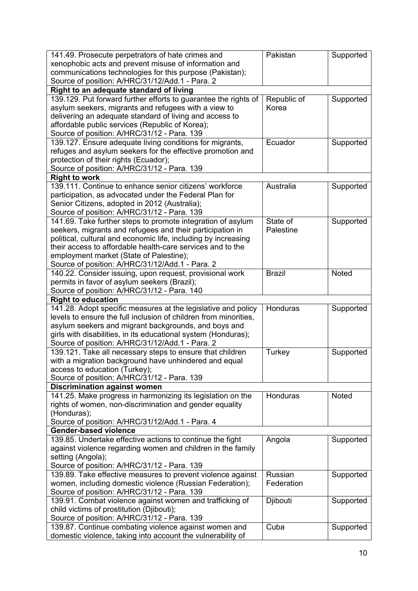| 141.49. Prosecute perpetrators of hate crimes and                                            | Pakistan      | Supported    |
|----------------------------------------------------------------------------------------------|---------------|--------------|
| xenophobic acts and prevent misuse of information and                                        |               |              |
| communications technologies for this purpose (Pakistan);                                     |               |              |
| Source of position: A/HRC/31/12/Add.1 - Para. 2                                              |               |              |
| Right to an adequate standard of living                                                      |               |              |
| 139.129. Put forward further efforts to guarantee the rights of                              | Republic of   | Supported    |
| asylum seekers, migrants and refugees with a view to                                         | Korea         |              |
| delivering an adequate standard of living and access to                                      |               |              |
| affordable public services (Republic of Korea);                                              |               |              |
| Source of position: A/HRC/31/12 - Para. 139                                                  |               |              |
| 139.127. Ensure adequate living conditions for migrants,                                     | Ecuador       | Supported    |
| refuges and asylum seekers for the effective promotion and                                   |               |              |
| protection of their rights (Ecuador);                                                        |               |              |
| Source of position: A/HRC/31/12 - Para. 139<br><b>Right to work</b>                          |               |              |
| 139.111. Continue to enhance senior citizens' workforce                                      | Australia     |              |
|                                                                                              |               | Supported    |
| participation, as advocated under the Federal Plan for                                       |               |              |
| Senior Citizens, adopted in 2012 (Australia);<br>Source of position: A/HRC/31/12 - Para. 139 |               |              |
| 141.69. Take further steps to promote integration of asylum                                  | State of      | Supported    |
| seekers, migrants and refugees and their participation in                                    | Palestine     |              |
| political, cultural and economic life, including by increasing                               |               |              |
| their access to affordable health-care services and to the                                   |               |              |
| employment market (State of Palestine);                                                      |               |              |
| Source of position: A/HRC/31/12/Add.1 - Para. 2                                              |               |              |
| 140.22. Consider issuing, upon request, provisional work                                     | <b>Brazil</b> | Noted        |
| permits in favor of asylum seekers (Brazil);                                                 |               |              |
| Source of position: A/HRC/31/12 - Para. 140                                                  |               |              |
| <b>Right to education</b>                                                                    |               |              |
| 141.28. Adopt specific measures at the legislative and policy                                | Honduras      | Supported    |
| levels to ensure the full inclusion of children from minorities,                             |               |              |
| asylum seekers and migrant backgrounds, and boys and                                         |               |              |
| girls with disabilities, in its educational system (Honduras);                               |               |              |
| Source of position: A/HRC/31/12/Add.1 - Para. 2                                              |               |              |
| 139.121. Take all necessary steps to ensure that children                                    | Turkey        | Supported    |
| with a migration background have unhindered and equal                                        |               |              |
| access to education (Turkey);                                                                |               |              |
| Source of position: A/HRC/31/12 - Para. 139                                                  |               |              |
| <b>Discrimination against women</b>                                                          |               |              |
| 141.25. Make progress in harmonizing its legislation on the                                  | Honduras      | <b>Noted</b> |
| rights of women, non-discrimination and gender equality                                      |               |              |
| (Honduras);                                                                                  |               |              |
| Source of position: A/HRC/31/12/Add.1 - Para. 4                                              |               |              |
| <b>Gender-based violence</b>                                                                 |               |              |
| 139.85. Undertake effective actions to continue the fight                                    | Angola        | Supported    |
| against violence regarding women and children in the family                                  |               |              |
| setting (Angola);                                                                            |               |              |
| Source of position: A/HRC/31/12 - Para. 139                                                  |               |              |
| 139.89. Take effective measures to prevent violence against                                  | Russian       | Supported    |
| women, including domestic violence (Russian Federation);                                     | Federation    |              |
| Source of position: A/HRC/31/12 - Para. 139                                                  |               |              |
| 139.91. Combat violence against women and trafficking of                                     | Djibouti      | Supported    |
| child victims of prostitution (Djibouti);                                                    |               |              |
| Source of position: A/HRC/31/12 - Para. 139                                                  |               |              |
| 139.87. Continue combating violence against women and                                        | Cuba          | Supported    |
| domestic violence, taking into account the vulnerability of                                  |               |              |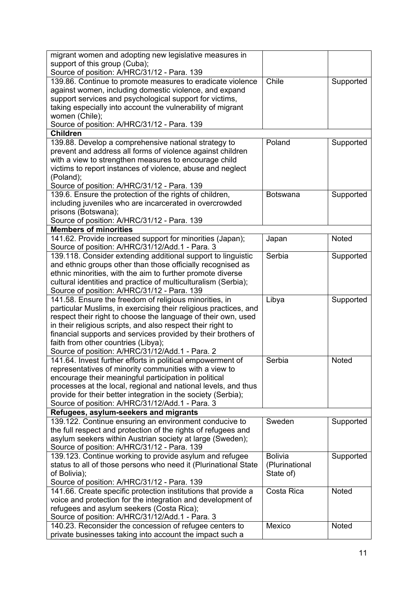| migrant women and adopting new legislative measures in                                                     |                 |              |
|------------------------------------------------------------------------------------------------------------|-----------------|--------------|
| support of this group (Cuba);                                                                              |                 |              |
| Source of position: A/HRC/31/12 - Para. 139                                                                |                 |              |
| 139.86. Continue to promote measures to eradicate violence                                                 | Chile           | Supported    |
| against women, including domestic violence, and expand                                                     |                 |              |
| support services and psychological support for victims,                                                    |                 |              |
| taking especially into account the vulnerability of migrant                                                |                 |              |
| women (Chile);                                                                                             |                 |              |
| Source of position: A/HRC/31/12 - Para. 139                                                                |                 |              |
| <b>Children</b>                                                                                            |                 |              |
| 139.88. Develop a comprehensive national strategy to                                                       | Poland          | Supported    |
| prevent and address all forms of violence against children                                                 |                 |              |
| with a view to strengthen measures to encourage child                                                      |                 |              |
| victims to report instances of violence, abuse and neglect                                                 |                 |              |
| (Poland);                                                                                                  |                 |              |
| Source of position: A/HRC/31/12 - Para. 139                                                                |                 |              |
| 139.6. Ensure the protection of the rights of children,                                                    | <b>Botswana</b> | Supported    |
| including juveniles who are incarcerated in overcrowded                                                    |                 |              |
| prisons (Botswana);                                                                                        |                 |              |
| Source of position: A/HRC/31/12 - Para. 139                                                                |                 |              |
| <b>Members of minorities</b>                                                                               |                 |              |
|                                                                                                            |                 |              |
| 141.62. Provide increased support for minorities (Japan);                                                  | Japan           | <b>Noted</b> |
| Source of position: A/HRC/31/12/Add.1 - Para. 3                                                            |                 |              |
| 139.118. Consider extending additional support to linguistic                                               | Serbia          | Supported    |
| and ethnic groups other than those officially recognised as                                                |                 |              |
| ethnic minorities, with the aim to further promote diverse                                                 |                 |              |
| cultural identities and practice of multiculturalism (Serbia);                                             |                 |              |
| Source of position: A/HRC/31/12 - Para. 139                                                                |                 |              |
|                                                                                                            |                 |              |
| 141.58. Ensure the freedom of religious minorities, in                                                     | Libya           | Supported    |
| particular Muslims, in exercising their religious practices, and                                           |                 |              |
| respect their right to choose the language of their own, used                                              |                 |              |
| in their religious scripts, and also respect their right to                                                |                 |              |
| financial supports and services provided by their brothers of                                              |                 |              |
| faith from other countries (Libya);                                                                        |                 |              |
| Source of position: A/HRC/31/12/Add.1 - Para. 2                                                            |                 |              |
| 141.64. Invest further efforts in political empowerment of                                                 | Serbia          | Noted        |
| representatives of minority communities with a view to                                                     |                 |              |
| encourage their meaningful participation in political                                                      |                 |              |
| processes at the local, regional and national levels, and thus                                             |                 |              |
| provide for their better integration in the society (Serbia);                                              |                 |              |
| Source of position: A/HRC/31/12/Add.1 - Para. 3                                                            |                 |              |
| Refugees, asylum-seekers and migrants                                                                      |                 |              |
| 139.122. Continue ensuring an environment conducive to                                                     | Sweden          | Supported    |
| the full respect and protection of the rights of refugees and                                              |                 |              |
| asylum seekers within Austrian society at large (Sweden);                                                  |                 |              |
| Source of position: A/HRC/31/12 - Para. 139                                                                |                 |              |
| 139.123. Continue working to provide asylum and refugee                                                    | <b>Bolivia</b>  | Supported    |
| status to all of those persons who need it (Plurinational State                                            | (Plurinational  |              |
| of Bolivia);                                                                                               | State of)       |              |
|                                                                                                            |                 |              |
| Source of position: A/HRC/31/12 - Para. 139                                                                | Costa Rica      | Noted        |
| 141.66. Create specific protection institutions that provide a                                             |                 |              |
| voice and protection for the integration and development of                                                |                 |              |
| refugees and asylum seekers (Costa Rica);                                                                  |                 |              |
| Source of position: A/HRC/31/12/Add.1 - Para. 3<br>140.23. Reconsider the concession of refugee centers to | Mexico          | Noted        |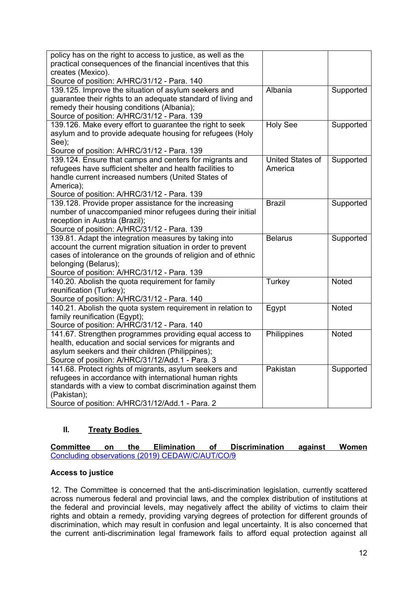| policy has on the right to access to justice, as well as the  |                  |              |
|---------------------------------------------------------------|------------------|--------------|
| practical consequences of the financial incentives that this  |                  |              |
| creates (Mexico).                                             |                  |              |
| Source of position: A/HRC/31/12 - Para. 140                   |                  |              |
| 139.125. Improve the situation of asylum seekers and          | Albania          | Supported    |
| guarantee their rights to an adequate standard of living and  |                  |              |
| remedy their housing conditions (Albania);                    |                  |              |
| Source of position: A/HRC/31/12 - Para. 139                   |                  |              |
| 139.126. Make every effort to guarantee the right to seek     | <b>Holy See</b>  | Supported    |
| asylum and to provide adequate housing for refugees (Holy     |                  |              |
| See);                                                         |                  |              |
| Source of position: A/HRC/31/12 - Para. 139                   |                  |              |
| 139.124. Ensure that camps and centers for migrants and       | United States of | Supported    |
| refugees have sufficient shelter and health facilities to     | America          |              |
| handle current increased numbers (United States of            |                  |              |
| America);                                                     |                  |              |
| Source of position: A/HRC/31/12 - Para. 139                   |                  |              |
| 139.128. Provide proper assistance for the increasing         | <b>Brazil</b>    | Supported    |
| number of unaccompanied minor refugees during their initial   |                  |              |
| reception in Austria (Brazil);                                |                  |              |
| Source of position: A/HRC/31/12 - Para. 139                   |                  |              |
| 139.81. Adapt the integration measures by taking into         | <b>Belarus</b>   | Supported    |
| account the current migration situation in order to prevent   |                  |              |
| cases of intolerance on the grounds of religion and of ethnic |                  |              |
| belonging (Belarus);                                          |                  |              |
| Source of position: A/HRC/31/12 - Para. 139                   |                  |              |
| 140.20. Abolish the quota requirement for family              | <b>Turkey</b>    | <b>Noted</b> |
| reunification (Turkey);                                       |                  |              |
| Source of position: A/HRC/31/12 - Para. 140                   |                  |              |
| 140.21. Abolish the quota system requirement in relation to   | Egypt            | <b>Noted</b> |
| family reunification (Egypt);                                 |                  |              |
| Source of position: A/HRC/31/12 - Para. 140                   |                  |              |
| 141.67. Strengthen programmes providing equal access to       | Philippines      | <b>Noted</b> |
| health, education and social services for migrants and        |                  |              |
| asylum seekers and their children (Philippines);              |                  |              |
| Source of position: A/HRC/31/12/Add.1 - Para. 3               |                  |              |
| 141.68. Protect rights of migrants, asylum seekers and        | Pakistan         | Supported    |
| refugees in accordance with international human rights        |                  |              |
| standards with a view to combat discrimination against them   |                  |              |
| (Pakistan);                                                   |                  |              |
| Source of position: A/HRC/31/12/Add.1 - Para. 2               |                  |              |

# **II. Treaty Bodies**

**Committee on the Elimination of Discrimination against Women** Concluding observations (2019) [CEDAW/C/AUT/CO/9](https://tbinternet.ohchr.org/_layouts/treatybodyexternal/Download.aspx?symbolno=CEDAW/C/AUT/CO/9&Lang=En)

# **Access to justice**

12. The Committee is concerned that the anti-discrimination legislation, currently scattered across numerous federal and provincial laws, and the complex distribution of institutions at the federal and provincial levels, may negatively affect the ability of victims to claim their rights and obtain <sup>a</sup> remedy, providing varying degrees of protection for different grounds of discrimination, which may result in confusion and legal uncertainty. It is also concerned that the current anti-discrimination legal framework fails to afford equal protection against all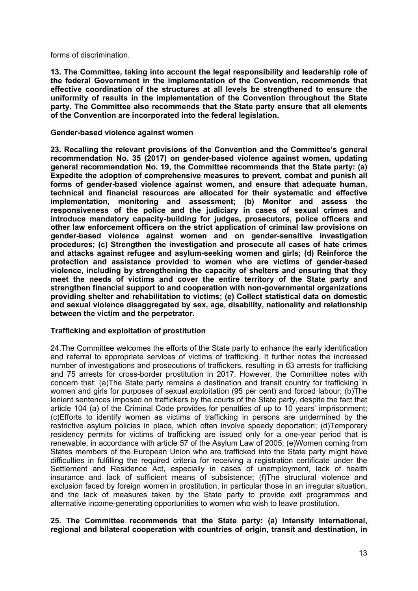forms of discrimination.

**13. The Committee, taking into account the legal responsibility and leadership role of the federal Government in the implementation of the Convention, recommends that effective coordination of the structures at all levels be strengthened to ensure the uniformity of results in the implementation of the Convention throughout the State party. The Committee also recommends that the State party ensure that all elements of the Convention are incorporated into the federal legislation.**

#### **Gender-based violence against women**

**23. Recalling the relevant provisions of the Convention and the Committee'<sup>s</sup> general recommendation No. 35 (2017) on gender-based violence against women, updating general recommendation No. 19, the Committee recommends that the State party: (a) Expedite the adoption of comprehensive measures to prevent, combat and punish all forms of gender-based violence against women, and ensure that adequate human, technical and financial resources are allocated for their systematic and effective implementation, monitoring and assessment; (b) Monitor and assess the responsiveness of the police and the judiciary in cases of sexual crimes and introduce mandatory capacity-building for judges, prosecutors, police officers and other law enforcement officers on the strict application of criminal law provisions on gender-based violence against women and on gender-sensitive investigation procedures; (c) Strengthen the investigation and prosecute all cases of hate crimes and attacks against refugee and asylum-seeking women and girls; (d) Reinforce the protection and assistance provided to women who are victims of gender-based violence, including by strengthening the capacity of shelters and ensuring that they meet the needs of victims and cover the entire territory of the State party and strengthen financial support to and cooperation with non-governmental organizations providing shelter and rehabilitation to victims; (e) Collect statistical data on domestic and sexual violence disaggregated by sex, age, disability, nationality and relationship between the victim and the perpetrator.**

# **Trafficking and exploitation of prostitution**

24.The Committee welcomes the efforts of the State party to enhance the early identification and referral to appropriate services of victims of trafficking. It further notes the increased number of investigations and prosecutions of traffickers, resulting in 63 arrests for trafficking and 75 arrests for cross-border prostitution in 2017. However, the Committee notes with concern that: (a)The State party remains <sup>a</sup> destination and transit country for trafficking in women and girls for purposes of sexual exploitation (95 per cent) and forced labour; (b)The lenient sentences imposed on traffickers by the courts of the State party, despite the fact that article 104 (a) of the Criminal Code provides for penalties of up to 10 years' imprisonment; (c)Efforts to identify women as victims of trafficking in persons are undermined by the restrictive asylum policies in place, which often involve speedy deportation; (d)Temporary residency permits for victims of trafficking are issued only for <sup>a</sup> one-year period that is renewable, in accordance with article 57 of the Asylum Law of 2005; (e)Women coming from States members of the European Union who are trafficked into the State party might have difficulties in fulfilling the required criteria for receiving <sup>a</sup> registration certificate under the Settlement and Residence Act, especially in cases of unemployment, lack of health insurance and lack of sufficient means of subsistence; (f)The structural violence and exclusion faced by foreign women in prostitution, in particular those in an irregular situation, and the lack of measures taken by the State party to provide exit programmes and alternative income-generating opportunities to women who wish to leave prostitution.

# **25. The Committee recommends that the State party: (a) Intensify international, regional and bilateral cooperation with countries of origin, transit and destination, in**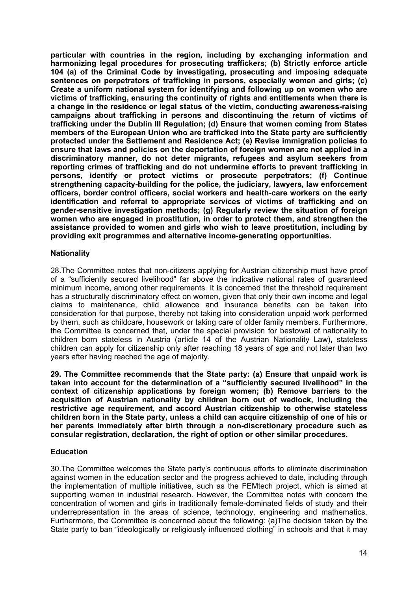**particular with countries in the region, including by exchanging information and harmonizing legal procedures for prosecuting traffickers; (b) Strictly enforce article 104 (a) of the Criminal Code by investigating, prosecuting and imposing adequate sentences on perpetrators of trafficking in persons, especially women and girls; (c) Create <sup>a</sup> uniform national system for identifying and following up on women who are victims of trafficking, ensuring the continuity of rights and entitlements when there is <sup>a</sup> change in the residence or legal status of the victim, conducting awareness-raising campaigns about trafficking in persons and discontinuing the return of victims of trafficking under the Dublin III Regulation; (d) Ensure that women coming from States members of the European Union who are trafficked into the State party are sufficiently protected under the Settlement and Residence Act; (e) Revise immigration policies to ensure that laws and policies on the deportation of foreign women are not applied in <sup>a</sup> discriminatory manner, do not deter migrants, refugees and asylum seekers from reporting crimes of trafficking and do not undermine efforts to prevent trafficking in persons, identify or protect victims or prosecute perpetrators; (f) Continue strengthening capacity-building for the police, the judiciary, lawyers, law enforcement officers, border control officers, social workers and health-care workers on the early identification and referral to appropriate services of victims of trafficking and on gender-sensitive investigation methods; (g) Regularly review the situation of foreign women who are engaged in prostitution, in order to protect them, and strengthen the assistance provided to women and girls who wish to leave prostitution, including by providing exit programmes and alternative income-generating opportunities.**

# **Nationality**

28.The Committee notes that non-citizens applying for Austrian citizenship must have proof of <sup>a</sup> "sufficiently secured livelihood" far above the indicative national rates of guaranteed minimum income, among other requirements. It is concerned that the threshold requirement has <sup>a</sup> structurally discriminatory effect on women, given that only their own income and legal claims to maintenance, child allowance and insurance benefits can be taken into consideration for that purpose, thereby not taking into consideration unpaid work performed by them, such as childcare, housework or taking care of older family members. Furthermore, the Committee is concerned that, under the special provision for bestowal of nationality to children born stateless in Austria (article 14 of the Austrian Nationality Law), stateless children can apply for citizenship only after reaching 18 years of age and not later than two years after having reached the age of majority.

**29. The Committee recommends that the State party: (a) Ensure that unpaid work is taken into account for the determination of <sup>a</sup> "sufficiently secured livelihood" in the context of citizenship applications by foreign women; (b) Remove barriers to the acquisition of Austrian nationality by children born out of wedlock, including the restrictive age requirement, and accord Austrian citizenship to otherwise stateless children born in the State party, unless <sup>a</sup> child can acquire citizenship of one of his or her parents immediately after birth through <sup>a</sup> non-discretionary procedure such as consular registration, declaration, the right of option or other similar procedures.**

#### **Education**

30.The Committee welcomes the State party'<sup>s</sup> continuous efforts to eliminate discrimination against women in the education sector and the progress achieved to date, including through the implementation of multiple initiatives, such as the FEMtech project, which is aimed at supporting women in industrial research. However, the Committee notes with concern the concentration of women and girls in traditionally female-dominated fields of study and their underrepresentation in the areas of science, technology, engineering and mathematics. Furthermore, the Committee is concerned about the following: (a)The decision taken by the State party to ban "ideologically or religiously influenced clothing" in schools and that it may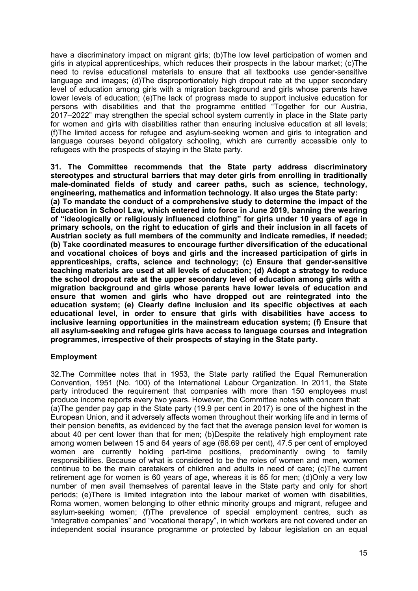have a discriminatory impact on migrant girls; (b) The low level participation of women and girls in atypical apprenticeships, which reduces their prospects in the labour market; (c)The need to revise educational materials to ensure that all textbooks use gender-sensitive language and images; (d)The disproportionately high dropout rate at the upper secondary level of education among girls with a migration background and girls whose parents have lower levels of education; (e)The lack of progress made to support inclusive education for persons with disabilities and that the programme entitled "Together for our Austria, 2017–2022" may strengthen the special school system currently in place in the State party for women and girls with disabilities rather than ensuring inclusive education at all levels; (f)The limited access for refugee and asylum-seeking women and girls to integration and language courses beyond obligatory schooling, which are currently accessible only to refugees with the prospects of staying in the State party.

**31. The Committee recommends that the State party address discriminatory stereotypes and structural barriers that may deter girls from enrolling in traditionally male-dominated fields of study and career paths, such as science, technology, engineering, mathematics and information technology. It also urges the State party: (a) To mandate the conduct of <sup>a</sup> comprehensive study to determine the impact of the Education in School Law, which entered into force in June 2019, banning the wearing of "ideologically or religiously influenced clothing" for girls under 10 years of age in primary schools, on the right to education of girls and their inclusion in all facets of Austrian society as full members of the community and indicate remedies, if needed; (b) Take coordinated measures to encourage further diversification of the educational and vocational choices of boys and girls and the increased participation of girls in apprenticeships, crafts, science and technology; (c) Ensure that gender-sensitive teaching materials are used at all levels of education; (d) Adopt <sup>a</sup> strategy to reduce the school dropout rate at the upper secondary level of education among girls with <sup>a</sup> migration background and girls whose parents have lower levels of education and ensure that women and girls who have dropped out are reintegrated into the education system; (e) Clearly define inclusion and its specific objectives at each educational level, in order to ensure that girls with disabilities have access to inclusive learning opportunities in the mainstream education system; (f) Ensure that all asylum-seeking and refugee girls have access to language courses and integration programmes, irrespective of their prospects of staying in the State party.**

# **Employment**

32.The Committee notes that in 1953, the State party ratified the Equal Remuneration Convention, 1951 (No. 100) of the International Labour Organization. In 2011, the State party introduced the requirement that companies with more than 150 employees must produce income reports every two years. However, the Committee notes with concern that: (a)The gender pay gap in the State party (19.9 per cent in 2017) is one of the highest in the European Union, and it adversely affects women throughout their working life and in terms of their pension benefits, as evidenced by the fact that the average pension level for women is about 40 per cent lower than that for men; (b)Despite the relatively high employment rate among women between 15 and 64 years of age (68.69 per cent), 47.5 per cent of employed women are currently holding part-time positions, predominantly owing to family responsibilities. Because of what is considered to be the roles of women and men, women continue to be the main caretakers of children and adults in need of care; (c)The current retirement age for women is 60 years of age, whereas it is 65 for men; (d)Only <sup>a</sup> very low number of men avail themselves of parental leave in the State party and only for short periods; (e)There is limited integration into the labour market of women with disabilities, Roma women, women belonging to other ethnic minority groups and migrant, refugee and asylum-seeking women; (f)The prevalence of special employment centres, such as "integrative companies" and "vocational therapy", in which workers are not covered under an independent social insurance programme or protected by labour legislation on an equal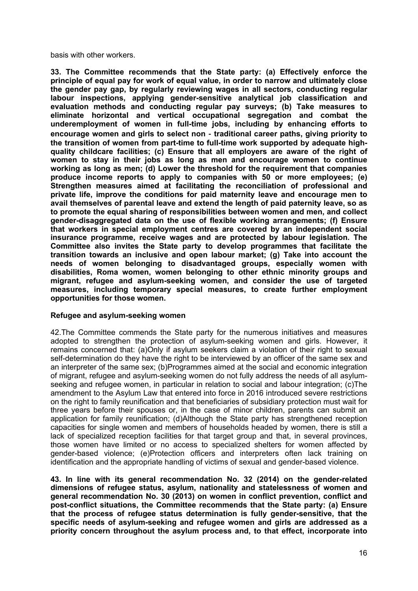basis with other workers.

**33. The Committee recommends that the State party: (a) Effectively enforce the principle of equal pay for work of equal value, in order to narrow and ultimately close the gender pay gap, by regularly reviewing wages in all sectors, conducting regular labour inspections, applying gender-sensitive analytical job classification and evaluation methods and conducting regular pay surveys; (b) Take measures to eliminate horizontal and vertical occupational segregation and combat the underemployment of women in full-time jobs, including by enhancing efforts to encourage women and girls to select non ‑ traditional career paths, giving priority to the transition of women from part-time to full-time work supported by adequate highquality childcare facilities; (c) Ensure that all employers are aware of the right of women to stay in their jobs as long as men and encourage women to continue working as long as men; (d) Lower the threshold for the requirement that companies produce income reports to apply to companies with 50 or more employees; (e) Strengthen measures aimed at facilitating the reconciliation of professional and private life, improve the conditions for paid maternity leave and encourage men to avail themselves of parental leave and extend the length of paid paternity leave, so as to promote the equal sharing of responsibilities between women and men, and collect gender-disaggregated data on the use of flexible working arrangements; (f) Ensure that workers in special employment centres are covered by an independent social insurance programme, receive wages and are protected by labour legislation. The Committee also invites the State party to develop programmes that facilitate the transition towards an inclusive and open labour market; (g) Take into account the needs of women belonging to disadvantaged groups, especially women with disabilities, Roma women, women belonging to other ethnic minority groups and migrant, refugee and asylum-seeking women, and consider the use of targeted measures, including temporary special measures, to create further employment opportunities for those women.**

# **Refugee and asylum-seeking women**

42.The Committee commends the State party for the numerous initiatives and measures adopted to strengthen the protection of asylum-seeking women and girls. However, it remains concerned that: (a)Only if asylum seekers claim <sup>a</sup> violation of their right to sexual self-determination do they have the right to be interviewed by an officer of the same sex and an interpreter of the same sex; (b)Programmes aimed at the social and economic integration of migrant, refugee and asylum-seeking women do not fully address the needs of all asylumseeking and refugee women, in particular in relation to social and labour integration; (c)The amendment to the Asylum Law that entered into force in 2016 introduced severe restrictions on the right to family reunification and that beneficiaries of subsidiary protection must wait for three years before their spouses or, in the case of minor children, parents can submit an application for family reunification; (d)Although the State party has strengthened reception capacities for single women and members of households headed by women, there is still <sup>a</sup> lack of specialized reception facilities for that target group and that, in several provinces, those women have limited or no access to specialized shelters for women affected by gender-based violence; (e)Protection officers and interpreters often lack training on identification and the appropriate handling of victims of sexual and gender-based violence.

**43. In line with its general recommendation No. 32 (2014) on the gender-related dimensions of refugee status, asylum, nationality and statelessness of women and general recommendation No. 30 (2013) on women in conflict prevention, conflict and post-conflict situations, the Committee recommends that the State party: (a) Ensure that the process of refugee status determination is fully gender-sensitive, that the specific needs of asylum-seeking and refugee women and girls are addressed as <sup>a</sup> priority concern throughout the asylum process and, to that effect, incorporate into**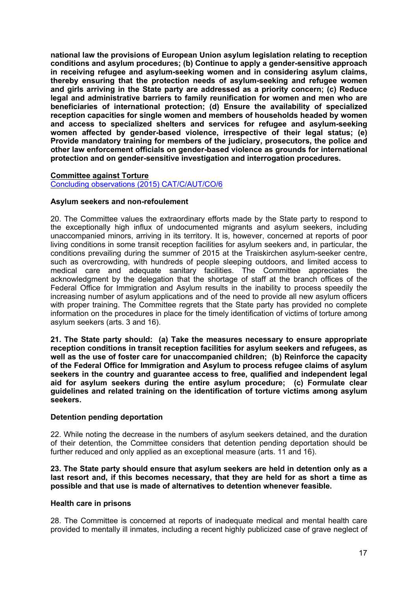**national law the provisions of European Union asylum legislation relating to reception conditions and asylum procedures; (b) Continue to apply <sup>a</sup> gender-sensitive approach in receiving refugee and asylum-seeking women and in considering asylum claims, thereby ensuring that the protection needs of asylum-seeking and refugee women and girls arriving in the State party are addressed as <sup>a</sup> priority concern; (c) Reduce legal and administrative barriers to family reunification for women and men who are beneficiaries of international protection; (d) Ensure the availability of specialized reception capacities for single women and members of households headed by women and access to specialized shelters and services for refugee and asylum-seeking women affected by gender-based violence, irrespective of their legal status; (e) Provide mandatory training for members of the judiciary, prosecutors, the police and other law enforcement officials on gender-based violence as grounds for international protection and on gender-sensitive investigation and interrogation procedures.**

#### **Committee against Torture** Concluding observations (2015) [CAT/C/AUT/CO/6](https://tbinternet.ohchr.org/_layouts/treatybodyexternal/Download.aspx?symbolno=CAT/C/AUT/CO/6&Lang=En)

#### **Asylum seekers and non-refoulement**

20. The Committee values the extraordinary efforts made by the State party to respond to the exceptionally high influx of undocumented migrants and asylum seekers, including unaccompanied minors, arriving in its territory. It is, however, concerned at reports of poor living conditions in some transit reception facilities for asylum seekers and, in particular, the conditions prevailing during the summer of 2015 at the Traiskirchen asylum-seeker centre, such as overcrowding, with hundreds of people sleeping outdoors, and limited access to medical care and adequate sanitary facilities. The Committee appreciates the acknowledgment by the delegation that the shortage of staff at the branch offices of the Federal Office for Immigration and Asylum results in the inability to process speedily the increasing number of asylum applications and of the need to provide all new asylum officers with proper training. The Committee regrets that the State party has provided no complete information on the procedures in place for the timely identification of victims of torture among asylum seekers (arts. 3 and 16).

**21. The State party should: (a) Take the measures necessary to ensure appropriate reception conditions in transit reception facilities for asylum seekers and refugees, as well as the use of foster care for unaccompanied children; (b) Reinforce the capacity of the Federal Office for Immigration and Asylum to process refugee claims of asylum seekers in the country and guarantee access to free, qualified and independent legal aid for asylum seekers during the entire asylum procedure; (c) Formulate clear guidelines and related training on the identification of torture victims among asylum seekers.**

#### **Detention pending deportation**

22. While noting the decrease in the numbers of asylum seekers detained, and the duration of their detention, the Committee considers that detention pending deportation should be further reduced and only applied as an exceptional measure (arts. 11 and 16).

**23. The State party should ensure that asylum seekers are held in detention only as <sup>a</sup> last resort and, if this becomes necessary, that they are held for as short <sup>a</sup> time as possible and that use is made of alternatives to detention whenever feasible.**

#### **Health care in prisons**

28. The Committee is concerned at reports of inadequate medical and mental health care provided to mentally ill inmates, including <sup>a</sup> recent highly publicized case of grave neglect of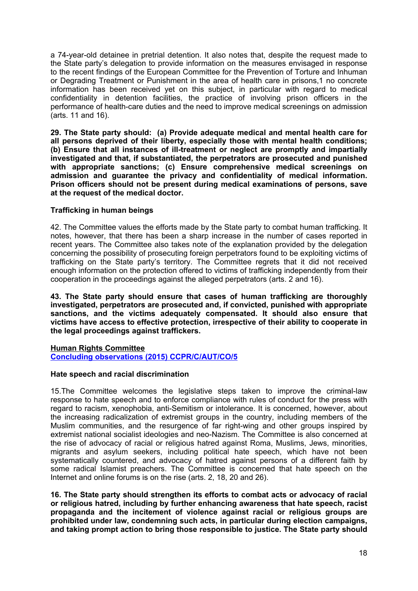<sup>a</sup> 74-year-old detainee in pretrial detention. It also notes that, despite the request made to the State party'<sup>s</sup> delegation to provide information on the measures envisaged in response to the recent findings of the European Committee for the Prevention of Torture and Inhuman or Degrading Treatment or Punishment in the area of health care in prisons,1 no concrete information has been received yet on this subject, in particular with regard to medical confidentiality in detention facilities, the practice of involving prison officers in the performance of health-care duties and the need to improve medical screenings on admission (arts. 11 and 16).

**29. The State party should: (a) Provide adequate medical and mental health care for all persons deprived of their liberty, especially those with mental health conditions; (b) Ensure that all instances of ill-treatment or neglect are promptly and impartially investigated and that, if substantiated, the perpetrators are prosecuted and punished with appropriate sanctions; (c) Ensure comprehensive medical screenings on admission and guarantee the privacy and confidentiality of medical information. Prison officers should not be present during medical examinations of persons, save at the request of the medical doctor.**

# **Trafficking in human beings**

42. The Committee values the efforts made by the State party to combat human trafficking. It notes, however, that there has been <sup>a</sup> sharp increase in the number of cases reported in recent years. The Committee also takes note of the explanation provided by the delegation concerning the possibility of prosecuting foreign perpetrators found to be exploiting victims of trafficking on the State party'<sup>s</sup> territory. The Committee regrets that it did not received enough information on the protection offered to victims of trafficking independently from their cooperation in the proceedings against the alleged perpetrators (arts. 2 and 16).

**43. The State party should ensure that cases of human trafficking are thoroughly investigated, perpetrators are prosecuted and, if convicted, punished with appropriate sanctions, and the victims adequately compensated. It should also ensure that victims have access to effective protection, irrespective of their ability to cooperate in the legal proceedings against traffickers.**

# **Human Rights Committee**

**Concluding observations (2015) [CCPR/C/AUT/CO/5](https://tbinternet.ohchr.org/_layouts/treatybodyexternal/Download.aspx?symbolno=CCPR/C/AUT/CO/5&Lang=En)**

# **Hate speech and racial discrimination**

15.The Committee welcomes the legislative steps taken to improve the criminal-law response to hate speech and to enforce compliance with rules of conduct for the press with regard to racism, xenophobia, anti-Semitism or intolerance. It is concerned, however, about the increasing radicalization of extremist groups in the country, including members of the Muslim communities, and the resurgence of far right-wing and other groups inspired by extremist national socialist ideologies and neo-Nazism. The Committee is also concerned at the rise of advocacy of racial or religious hatred against Roma, Muslims, Jews, minorities, migrants and asylum seekers, including political hate speech, which have not been systematically countered, and advocacy of hatred against persons of <sup>a</sup> different faith by some radical Islamist preachers. The Committee is concerned that hate speech on the Internet and online forums is on the rise (arts. 2, 18, 20 and 26).

**16. The State party should strengthen its efforts to combat acts or advocacy of racial or religious hatred, including by further enhancing awareness that hate speech, racist propaganda and the incitement of violence against racial or religious groups are prohibited under law, condemning such acts, in particular during election campaigns, and taking prompt action to bring those responsible to justice. The State party should**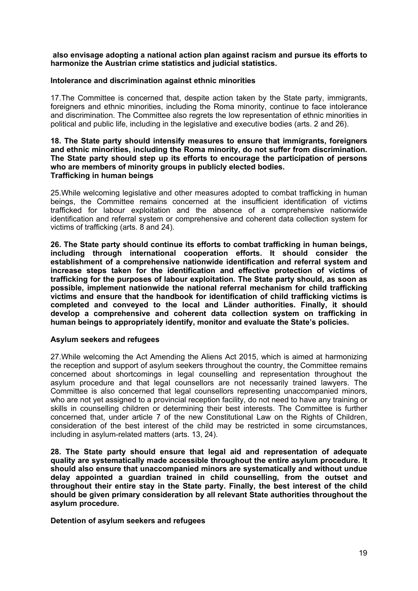#### **also envisage adopting <sup>a</sup> national action plan against racism and pursue its efforts to harmonize the Austrian crime statistics and judicial statistics.**

#### **Intolerance and discrimination against ethnic minorities**

17.The Committee is concerned that, despite action taken by the State party, immigrants, foreigners and ethnic minorities, including the Roma minority, continue to face intolerance and discrimination. The Committee also regrets the low representation of ethnic minorities in political and public life, including in the legislative and executive bodies (arts. 2 and 26).

#### **18. The State party should intensify measures to ensure that immigrants, foreigners and ethnic minorities, including the Roma minority, do not suffer from discrimination. The State party should step up its efforts to encourage the participation of persons who are members of minority groups in publicly elected bodies. Trafficking in human beings**

25.While welcoming legislative and other measures adopted to combat trafficking in human beings, the Committee remains concerned at the insufficient identification of victims trafficked for labour exploitation and the absence of <sup>a</sup> comprehensive nationwide identification and referral system or comprehensive and coherent data collection system for victims of trafficking (arts. 8 and 24).

**26. The State party should continue its efforts to combat trafficking in human beings, including through international cooperation efforts. It should consider the establishment of <sup>a</sup> comprehensive nationwide identification and referral system and increase steps taken for the identification and effective protection of victims of trafficking for the purposes of labour exploitation. The State party should, as soon as possible, implement nationwide the national referral mechanism for child trafficking victims and ensure that the handbook for identification of child trafficking victims is completed and conveyed to the local and Länder authorities. Finally, it should develop <sup>a</sup> comprehensive and coherent data collection system on trafficking in human beings to appropriately identify, monitor and evaluate the State'<sup>s</sup> policies.**

#### **Asylum seekers and refugees**

27.While welcoming the Act Amending the Aliens Act 2015, which is aimed at harmonizing the reception and support of asylum seekers throughout the country, the Committee remains concerned about shortcomings in legal counselling and representation throughout the asylum procedure and that legal counsellors are not necessarily trained lawyers. The Committee is also concerned that legal counsellors representing unaccompanied minors, who are not yet assigned to <sup>a</sup> provincial reception facility, do not need to have any training or skills in counselling children or determining their best interests. The Committee is further concerned that, under article 7 of the new Constitutional Law on the Rights of Children, consideration of the best interest of the child may be restricted in some circumstances, including in asylum-related matters (arts. 13, 24).

**28. The State party should ensure that legal aid and representation of adequate quality are systematically made accessible throughout the entire asylum procedure. It should also ensure that unaccompanied minors are systematically and without undue delay appointed <sup>a</sup> guardian trained in child counselling, from the outset and throughout their entire stay in the State party. Finally, the best interest of the child should be given primary consideration by all relevant State authorities throughout the asylum procedure.**

**Detention of asylum seekers and refugees**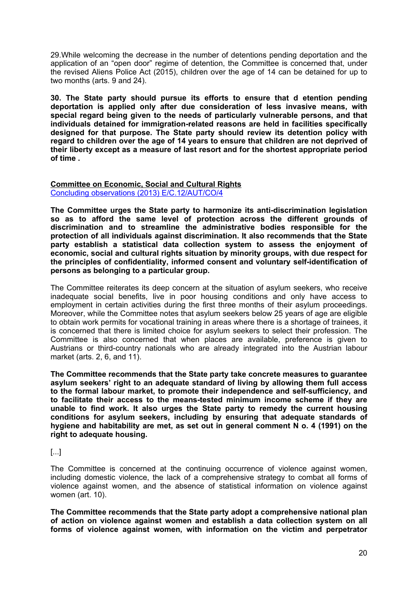29.While welcoming the decrease in the number of detentions pending deportation and the application of an "open door" regime of detention, the Committee is concerned that, under the revised Aliens Police Act (2015), children over the age of 14 can be detained for up to two months (arts. 9 and 24).

**30. The State party should pursue its efforts to ensure that d etention pending deportation is applied only after due consideration of less invasive means, with special regard being given to the needs of particularly vulnerable persons, and that individuals detained for immigration-related reasons are held in facilities specifically designed for that purpose. The State party should review its detention policy with regard to children over the age of 14 years to ensure that children are not deprived of their liberty except as <sup>a</sup> measure of last resort and for the shortest appropriate period of time .**

#### **Committee on Economic, Social and Cultural Rights** Concluding observations (2013) [E/C.12/AUT/CO/4](https://tbinternet.ohchr.org/_layouts/treatybodyexternal/Download.aspx?symbolno=E/C.12/AUT/CO/4&Lang=En)

**The Committee urges the State party to harmonize its anti-discrimination legislation so as to afford the same level of protection across the different grounds of discrimination and to streamline the administrative bodies responsible for the protection of all individuals against discrimination. It also recommends that the State party establish <sup>a</sup> statistical data collection system to assess the enjoyment of economic, social and cultural rights situation by minority groups, with due respect for the principles of confidentiality, informed consent and voluntary self-identification of persons as belonging to <sup>a</sup> particular group.**

The Committee reiterates its deep concern at the situation of asylum seekers, who receive inadequate social benefits, live in poor housing conditions and only have access to employment in certain activities during the first three months of their asylum proceedings. Moreover, while the Committee notes that asylum seekers below 25 years of age are eligible to obtain work permits for vocational training in areas where there is <sup>a</sup> shortage of trainees, it is concerned that there is limited choice for asylum seekers to select their profession. The Committee is also concerned that when places are available, preference is given to Austrians or third-country nationals who are already integrated into the Austrian labour market (arts. 2, 6, and 11).

**The Committee recommends that the State party take concrete measures to guarantee asylum seekers' right to an adequate standard of living by allowing them full access to the formal labour market, to promote their independence and self-sufficiency, and to facilitate their access to the means-tested minimum income scheme if they are unable to find work. It also urges the State party to remedy the current housing conditions for asylum seekers, including by ensuring that adequate standards of hygiene and habitability are met, as set out in general comment N o. 4 (1991) on the right to adequate housing.**

# [...]

The Committee is concerned at the continuing occurrence of violence against women, including domestic violence, the lack of <sup>a</sup> comprehensive strategy to combat all forms of violence against women, and the absence of statistical information on violence against women (art. 10).

**The Committee recommends that the State party adopt <sup>a</sup> comprehensive national plan of action on violence against women and establish <sup>a</sup> data collection system on all forms of violence against women, with information on the victim and perpetrator**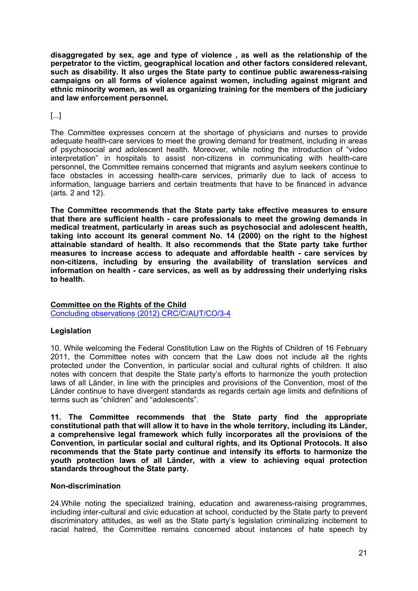**disaggregated by sex, age and type of violence , as well as the relationship of the perpetrator to the victim, geographical location and other factors considered relevant, such as disability. It also urges the State party to continue public awareness-raising campaigns on all forms of violence against women, including against migrant and ethnic minority women, as well as organizing training for the members of the judiciary and law enforcement personnel.**

# [...]

The Committee expresses concern at the shortage of physicians and nurses to provide adequate health-care services to meet the growing demand for treatment, including in areas of psychosocial and adolescent health. Moreover, while noting the introduction of "video interpretation" in hospitals to assist non-citizens in communicating with health-care personnel, the Committee remains concerned that migrants and asylum seekers continue to face obstacles in accessing health-care services, primarily due to lack of access to information, language barriers and certain treatments that have to be financed in advance (arts. 2 and 12).

**The Committee recommends that the State party take effective measures to ensure that there are sufficient health - care professionals to meet the growing demands in medical treatment, particularly in areas such as psychosocial and adolescent health, taking into account its general comment No. 14 (2000) on the right to the highest attainable standard of health. It also recommends that the State party take further measures to increase access to adequate and affordable health - care services by non-citizens, including by ensuring the availability of translation services and information on health - care services, as well as by addressing their underlying risks to health.**

# **Committee on the Rights of the Child**

Concluding observations (2012) [CRC/C/AUT/CO/3-4](https://tbinternet.ohchr.org/_layouts/treatybodyexternal/Download.aspx?symbolno=CRC/C/AUT/CO/3-4&Lang=En)

# **Legislation**

10. While welcoming the Federal Constitution Law on the Rights of Children of 16 February 2011, the Committee notes with concern that the Law does not include all the rights protected under the Convention, in particular social and cultural rights of children. It also notes with concern that despite the State party'<sup>s</sup> efforts to harmonize the youth protection laws of all Länder, in line with the principles and provisions of the Convention, most of the Länder continue to have divergent standards as regards certain age limits and definitions of terms such as "children" and "adolescents".

**11. The Committee recommends that the State party find the appropriate constitutional path that will allow it to have in the whole territory, including its Länder, <sup>a</sup> comprehensive legal framework which fully incorporates all the provisions of the Convention, in particular social and cultural rights, and its Optional Protocols. It also recommends that the State party continue and intensify its efforts to harmonize the youth protection laws of all Länder, with <sup>a</sup> view to achieving equal protection standards throughout the State party.**

# **Non-discrimination**

24.While noting the specialized training, education and awareness-raising programmes, including inter-cultural and civic education at school, conducted by the State party to prevent discriminatory attitudes, as well as the State party'<sup>s</sup> legislation criminalizing incitement to racial hatred, the Committee remains concerned about instances of hate speech by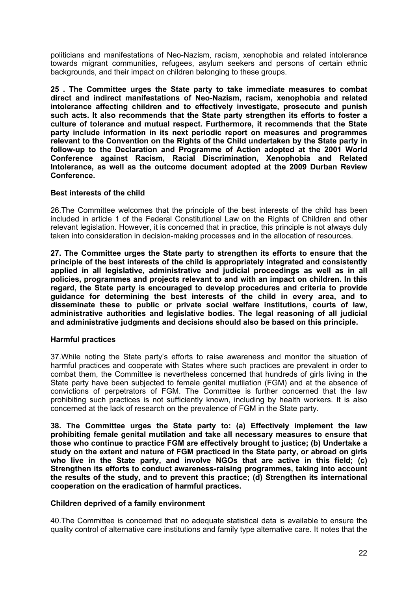politicians and manifestations of Neo-Nazism, racism, xenophobia and related intolerance towards migrant communities, refugees, asylum seekers and persons of certain ethnic backgrounds, and their impact on children belonging to these groups.

**25 . The Committee urges the State party to take immediate measures to combat direct and indirect manifestations of Neo-Nazism, racism, xenophobia and related intolerance affecting children and to effectively investigate, prosecute and punish such acts. It also recommends that the State party strengthen its efforts to foster <sup>a</sup> culture of tolerance and mutual respect. Furthermore, it recommends that the State party include information in its next periodic report on measures and programmes relevant to the Convention on the Rights of the Child undertaken by the State party in follow-up to the Declaration and Programme of Action adopted at the 2001 World Conference against Racism, Racial Discrimination, Xenophobia and Related Intolerance, as well as the outcome document adopted at the 2009 Durban Review Conference.**

# **Best interests of the child**

26.The Committee welcomes that the principle of the best interests of the child has been included in article 1 of the Federal Constitutional Law on the Rights of Children and other relevant legislation. However, it is concerned that in practice, this principle is not always duly taken into consideration in decision-making processes and in the allocation of resources.

**27. The Committee urges the State party to strengthen its efforts to ensure that the principle of the best interests of the child is appropriately integrated and consistently applied in all legislative, administrative and judicial proceedings as well as in all policies, programmes and projects relevant to and with an impact on children. In this regard, the State party is encouraged to develop procedures and criteria to provide guidance for determining the best interests of the child in every area, and to disseminate these to public or private social welfare institutions, courts of law, administrative authorities and legislative bodies. The legal reasoning of all judicial and administrative judgments and decisions should also be based on this principle.**

# **Harmful practices**

37.While noting the State party'<sup>s</sup> efforts to raise awareness and monitor the situation of harmful practices and cooperate with States where such practices are prevalent in order to combat them, the Committee is nevertheless concerned that hundreds of girls living in the State party have been subjected to female genital mutilation (FGM) and at the absence of convictions of perpetrators of FGM. The Committee is further concerned that the law prohibiting such practices is not sufficiently known, including by health workers. It is also concerned at the lack of research on the prevalence of FGM in the State party.

**38. The Committee urges the State party to: (a) Effectively implement the law prohibiting female genital mutilation and take all necessary measures to ensure that those who continue to practice FGM are effectively brought to justice; (b) Undertake <sup>a</sup> study on the extent and nature of FGM practiced in the State party, or abroad on girls who live in the State party, and involve NGOs that are active in this field; (c) Strengthen its efforts to conduct awareness-raising programmes, taking into account the results of the study, and to prevent this practice; (d) Strengthen its international cooperation on the eradication of harmful practices.**

#### **Children deprived of <sup>a</sup> family environment**

40.The Committee is concerned that no adequate statistical data is available to ensure the quality control of alternative care institutions and family type alternative care. It notes that the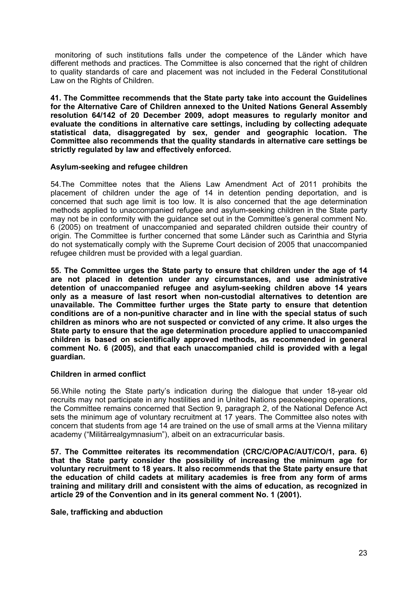monitoring of such institutions falls under the competence of the Länder which have different methods and practices. The Committee is also concerned that the right of children to quality standards of care and placement was not included in the Federal Constitutional Law on the Rights of Children.

**41. The Committee recommends that the State party take into account the Guidelines for the Alternative Care of Children annexed to the United Nations General Assembly resolution 64/142 of 20 December 2009, adopt measures to regularly monitor and evaluate the conditions in alternative care settings, including by collecting adequate statistical data, disaggregated by sex, gender and geographic location. The Committee also recommends that the quality standards in alternative care settings be strictly regulated by law and effectively enforced.**

#### **Asylum-seeking and refugee children**

54.The Committee notes that the Aliens Law Amendment Act of 2011 prohibits the placement of children under the age of 14 in detention pending deportation, and is concerned that such age limit is too low. It is also concerned that the age determination methods applied to unaccompanied refugee and asylum-seeking children in the State party may not be in conformity with the guidance set out in the Committee'<sup>s</sup> general comment No. 6 (2005) on treatment of unaccompanied and separated children outside their country of origin. The Committee is further concerned that some Länder such as Carinthia and Styria do not systematically comply with the Supreme Court decision of 2005 that unaccompanied refugee children must be provided with <sup>a</sup> legal guardian.

**55. The Committee urges the State party to ensure that children under the age of 14 are not placed in detention under any circumstances, and use administrative detention of unaccompanied refugee and asylum-seeking children above 14 years only as <sup>a</sup> measure of last resort when non-custodial alternatives to detention are unavailable. The Committee further urges the State party to ensure that detention conditions are of <sup>a</sup> non-punitive character and in line with the special status of such children as minors who are not suspected or convicted of any crime. It also urges the State party to ensure that the age determination procedure applied to unaccompanied children is based on scientifically approved methods, as recommended in general comment No. 6 (2005), and that each unaccompanied child is provided with <sup>a</sup> legal guardian.**

# **Children in armed conflict**

56.While noting the State party'<sup>s</sup> indication during the dialogue that under 18-year old recruits may not participate in any hostilities and in United Nations peacekeeping operations, the Committee remains concerned that Section 9, paragraph 2, of the National Defence Act sets the minimum age of voluntary recruitment at 17 years. The Committee also notes with concern that students from age 14 are trained on the use of small arms at the Vienna military academy ("Militärrealgymnasium"), albeit on an extracurricular basis.

**57. The Committee reiterates its recommendation (CRC/C/OPAC/AUT/CO/1, para. 6) that the State party consider the possibility of increasing the minimum age for voluntary recruitment to 18 years. It also recommends that the State party ensure that the education of child cadets at military academies is free from any form of arms training and military drill and consistent with the aims of education, as recognized in article 29 of the Convention and in its general comment No. 1 (2001).**

#### **Sale, trafficking and abduction**